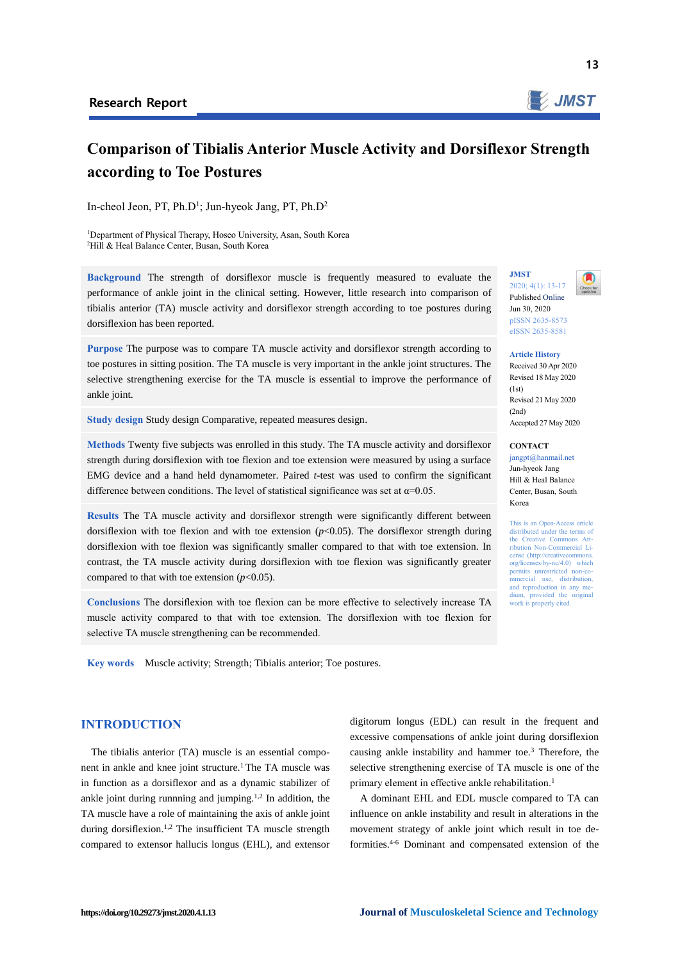

# **Comparison of Tibialis Anterior Muscle Activity and Dorsiflexor Strength according to Toe Postures**

In-cheol Jeon, PT, Ph.D<sup>1</sup>; Jun-hyeok Jang, PT, Ph.D<sup>2</sup>

<sup>1</sup>Department of Physical Therapy, Hoseo University, Asan, South Korea <sup>2</sup>Hill & Heal Balance Center, Busan, South Korea

**Background** The strength of dorsiflexor muscle is frequently measured to evaluate the performance of ankle joint in the clinical setting. However, little research into comparison of tibialis anterior (TA) muscle activity and dorsiflexor strength according to toe postures during dorsiflexion has been reported.

**Purpose** The purpose was to compare TA muscle activity and dorsiflexor strength according to toe postures in sitting position. The TA muscle is very important in the ankle joint structures. The selective strengthening exercise for the TA muscle is essential to improve the performance of ankle joint.

**Study design** Study design Comparative, repeated measures design.

**Methods** Twenty five subjects was enrolled in this study. The TA muscle activity and dorsiflexor strength during dorsiflexion with toe flexion and toe extension were measured by using a surface EMG device and a hand held dynamometer. Paired *t*-test was used to confirm the significant difference between conditions. The level of statistical significance was set at  $\alpha$ =0.05.

**Results** The TA muscle activity and dorsiflexor strength were significantly different between dorsiflexion with toe flexion and with toe extension  $(p<0.05)$ . The dorsiflexor strength during dorsiflexion with toe flexion was significantly smaller compared to that with toe extension. In contrast, the TA muscle activity during dorsiflexion with toe flexion was significantly greater compared to that with toe extension  $(p<0.05)$ .

**Conclusions** The dorsiflexion with toe flexion can be more effective to selectively increase TA muscle activity compared to that with toe extension. The dorsiflexion with toe flexion for selective TA muscle strengthening can be recommended.

**Key words** Muscle activity; Strength; Tibialis anterior; Toe postures.

# **JMST** 2020; 4(1): 13-17



Published Online Jun 30, 2020 pISSN 2635-8573 eISSN 2635-8581

## **Article History**

Received 30 Apr 2020 Revised 18 May 2020  $(1st)$ Revised 21 May 2020  $(2nd)$ Accepted 27 May 2020

### **CONTACT**

jangpt@hanmail.net Jun-hyeok Jang Hill & Heal Balance Center, Busan, South Korea

This is an Open-Access article distributed under the terms of the Creative Commons Attribution Non-Commercial License (http://creativecommon org/licenses/by-nc/4.0) which permits unrestricted non-commercial use, distribution, and reproduction in any me-<br>dium - provided the-original provided the original work is properly cited.

**INTRODUCTION**

The tibialis anterior (TA) muscle is an essential component in ankle and knee joint structure.<sup>1</sup> The TA muscle was in function as a dorsiflexor and as a dynamic stabilizer of ankle joint during runnning and jumping.<sup>1,2</sup> In addition, the TA muscle have a role of maintaining the axis of ankle joint during dorsiflexion.<sup>1,2</sup> The insufficient TA muscle strength compared to extensor hallucis longus (EHL), and extensor

digitorum longus (EDL) can result in the frequent and excessive compensations of ankle joint during dorsiflexion causing ankle instability and hammer toe.<sup>3</sup> Therefore, the selective strengthening exercise of TA muscle is one of the primary element in effective ankle rehabilitation.<sup>1</sup>

A dominant EHL and EDL muscle compared to TA can influence on ankle instability and result in alterations in the movement strategy of ankle joint which result in toe deformities.4-6 Dominant and compensated extension of the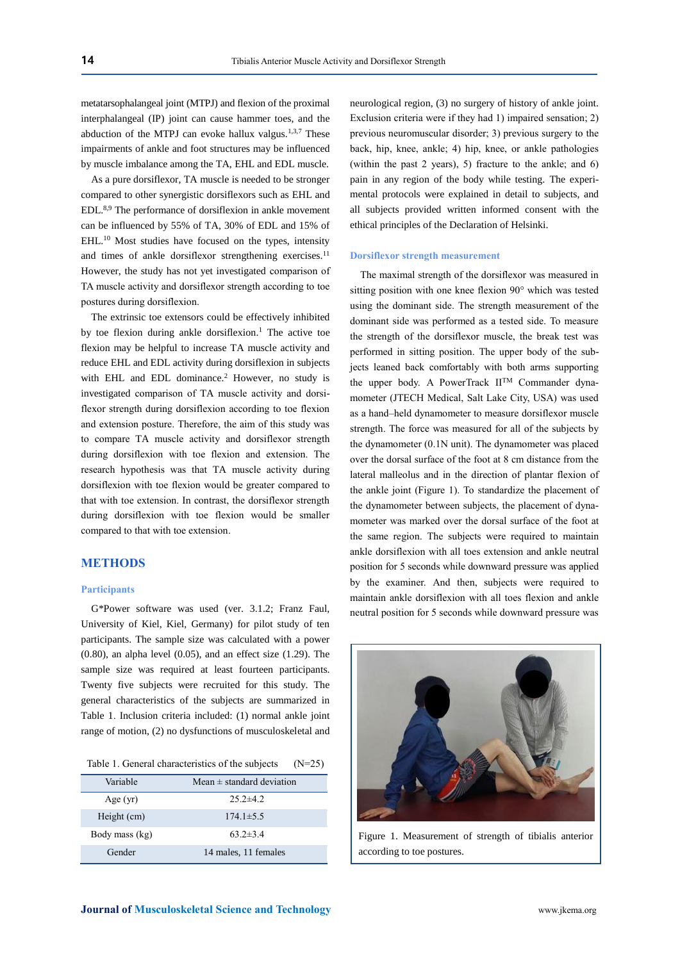metatarsophalangeal joint (MTPJ) and flexion of the proximal interphalangeal (IP) joint can cause hammer toes, and the abduction of the MTPJ can evoke hallux valgus.<sup>1,3,7</sup> These impairments of ankle and foot structures may be influenced by muscle imbalance among the TA, EHL and EDL muscle.

As a pure dorsiflexor, TA muscle is needed to be stronger compared to other synergistic dorsiflexors such as EHL and EDL.8,9 The performance of dorsiflexion in ankle movement can be influenced by 55% of TA, 30% of EDL and 15% of EHL.<sup>10</sup> Most studies have focused on the types, intensity and times of ankle dorsiflexor strengthening exercises.<sup>11</sup> However, the study has not yet investigated comparison of TA muscle activity and dorsiflexor strength according to toe postures during dorsiflexion.

The extrinsic toe extensors could be effectively inhibited by toe flexion during ankle dorsiflexion.<sup>1</sup> The active toe flexion may be helpful to increase TA muscle activity and reduce EHL and EDL activity during dorsiflexion in subjects with EHL and EDL dominance.<sup>2</sup> However, no study is investigated comparison of TA muscle activity and dorsiflexor strength during dorsiflexion according to toe flexion and extension posture. Therefore, the aim of this study was to compare TA muscle activity and dorsiflexor strength during dorsiflexion with toe flexion and extension. The research hypothesis was that TA muscle activity during dorsiflexion with toe flexion would be greater compared to that with toe extension. In contrast, the dorsiflexor strength during dorsiflexion with toe flexion would be smaller compared to that with toe extension.

# **METHODS**

#### **Participants**

G\*Power software was used (ver. 3.1.2; Franz Faul, University of Kiel, Kiel, Germany) for pilot study of ten participants. The sample size was calculated with a power (0.80), an alpha level (0.05), and an effect size (1.29). The sample size was required at least fourteen participants. Twenty five subjects were recruited for this study. The general characteristics of the subjects are summarized in Table 1. Inclusion criteria included: (1) normal ankle joint range of motion, (2) no dysfunctions of musculoskeletal and

Table 1. General characteristics of the subjects  $(N=25)$ 

| Variable       | Mean $\pm$ standard deviation |
|----------------|-------------------------------|
| Age $(yr)$     | $25.2 \pm 4.2$                |
| Height (cm)    | $174.1 \pm 5.5$               |
| Body mass (kg) | $63.2 \pm 3.4$                |
| Gender         | 14 males, 11 females          |

neurological region, (3) no surgery of history of ankle joint. Exclusion criteria were if they had 1) impaired sensation; 2) previous neuromuscular disorder; 3) previous surgery to the back, hip, knee, ankle; 4) hip, knee, or ankle pathologies (within the past 2 years), 5) fracture to the ankle; and 6) pain in any region of the body while testing. The experimental protocols were explained in detail to subjects, and all subjects provided written informed consent with the ethical principles of the Declaration of Helsinki.

### **Dorsiflexor strength measurement**

The maximal strength of the dorsiflexor was measured in sitting position with one knee flexion 90° which was tested using the dominant side. The strength measurement of the dominant side was performed as a tested side. To measure the strength of the dorsiflexor muscle, the break test was performed in sitting position. The upper body of the subjects leaned back comfortably with both arms supporting the upper body. A PowerTrack IITM Commander dynamometer (JTECH Medical, Salt Lake City, USA) was used as a hand–held dynamometer to measure dorsiflexor muscle strength. The force was measured for all of the subjects by the dynamometer (0.1N unit). The dynamometer was placed over the dorsal surface of the foot at 8 cm distance from the lateral malleolus and in the direction of plantar flexion of the ankle joint (Figure 1). To standardize the placement of the dynamometer between subjects, the placement of dynamometer was marked over the dorsal surface of the foot at the same region. The subjects were required to maintain ankle dorsiflexion with all toes extension and ankle neutral position for 5 seconds while downward pressure was applied by the examiner. And then, subjects were required to maintain ankle dorsiflexion with all toes flexion and ankle neutral position for 5 seconds while downward pressure was



Figure 1. Measurement of strength of tibialis anterior according to toe postures.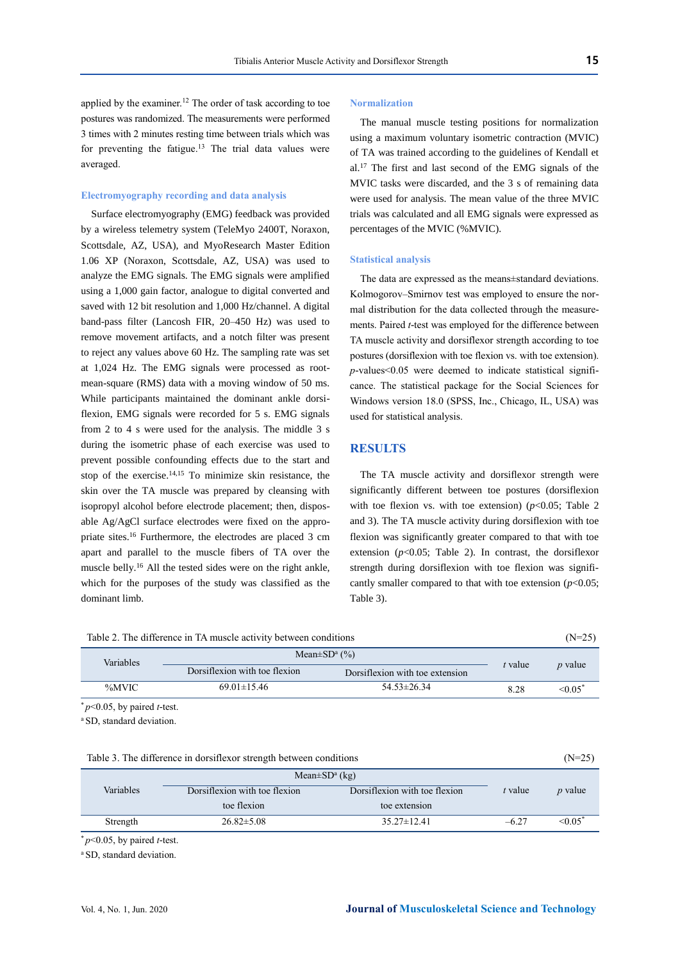applied by the examiner.<sup>12</sup> The order of task according to toe postures was randomized. The measurements were performed 3 times with 2 minutes resting time between trials which was for preventing the fatigue. $13$  The trial data values were averaged.

# **Electromyography recording and data analysis**

Surface electromyography (EMG) feedback was provided by a wireless telemetry system (TeleMyo 2400T, Noraxon, Scottsdale, AZ, USA), and MyoResearch Master Edition 1.06 XP (Noraxon, Scottsdale, AZ, USA) was used to analyze the EMG signals. The EMG signals were amplified using a 1,000 gain factor, analogue to digital converted and saved with 12 bit resolution and 1,000 Hz/channel. A digital band-pass filter (Lancosh FIR, 20–450 Hz) was used to remove movement artifacts, and a notch filter was present to reject any values above 60 Hz. The sampling rate was set at 1,024 Hz. The EMG signals were processed as rootmean-square (RMS) data with a moving window of 50 ms. While participants maintained the dominant ankle dorsiflexion, EMG signals were recorded for 5 s. EMG signals from 2 to 4 s were used for the analysis. The middle 3 s during the isometric phase of each exercise was used to prevent possible confounding effects due to the start and stop of the exercise.14,15 To minimize skin resistance, the skin over the TA muscle was prepared by cleansing with isopropyl alcohol before electrode placement; then, disposable Ag/AgCl surface electrodes were fixed on the appropriate sites.<sup>16</sup> Furthermore, the electrodes are placed 3 cm apart and parallel to the muscle fibers of TA over the muscle belly.<sup>16</sup> All the tested sides were on the right ankle, which for the purposes of the study was classified as the dominant limb.

#### **Normalization**

The manual muscle testing positions for normalization using a maximum voluntary isometric contraction (MVIC) of TA was trained according to the guidelines of Kendall et al.<sup>17</sup> The first and last second of the EMG signals of the MVIC tasks were discarded, and the 3 s of remaining data were used for analysis. The mean value of the three MVIC trials was calculated and all EMG signals were expressed as percentages of the MVIC (%MVIC).

## **Statistical analysis**

The data are expressed as the means±standard deviations. Kolmogorov–Smirnov test was employed to ensure the normal distribution for the data collected through the measurements. Paired *t*-test was employed for the difference between TA muscle activity and dorsiflexor strength according to toe postures (dorsiflexion with toe flexion vs. with toe extension).  $p$ -values< $0.05$  were deemed to indicate statistical significance. The statistical package for the Social Sciences for Windows version 18.0 (SPSS, Inc., Chicago, IL, USA) was used for statistical analysis.

# **RESULTS**

The TA muscle activity and dorsiflexor strength were significantly different between toe postures (dorsiflexion with toe flexion vs. with toe extension)  $(p<0.05$ ; Table 2 and 3). The TA muscle activity during dorsiflexion with toe flexion was significantly greater compared to that with toe extension  $(p<0.05$ ; Table 2). In contrast, the dorsiflexor strength during dorsiflexion with toe flexion was significantly smaller compared to that with toe extension (*p*<0.05; Table 3).

| Table 2. The difference in TA muscle activity between conditions |                               |                                 |         | $(N=25)$                 |  |
|------------------------------------------------------------------|-------------------------------|---------------------------------|---------|--------------------------|--|
| Variables                                                        | Mean $\pm SD^a$ (%)           |                                 |         |                          |  |
|                                                                  | Dorsiflexion with toe flexion | Dorsiflexion with toe extension | t value | $p$ value                |  |
| %MVIC                                                            | $69.01 \pm 15.46$             | $54.53 \pm 26.34$               | 8.28    | $\leq 0.05$ <sup>*</sup> |  |
| $p<0.05$ , by paired <i>t</i> -test.                             |                               |                                 |         |                          |  |
| <sup>a</sup> SD, standard deviation.                             |                               |                                 |         |                          |  |
|                                                                  |                               |                                 |         |                          |  |

| Table 3. The difference in dorsifiex or strength between conditions | $(N=25)$ |
|---------------------------------------------------------------------|----------|
|---------------------------------------------------------------------|----------|

|           | Mean $\pm SD^a$ (kg)          |                               |         |                |
|-----------|-------------------------------|-------------------------------|---------|----------------|
| Variables | Dorsiflexion with toe flexion | Dorsiflexion with toe flexion | t value | <i>p</i> value |
|           | toe flexion                   | toe extension                 |         |                |
| Strength  | $26.82 \pm 5.08$              | $35.27 \pm 12.41$             | $-6.27$ | $\leq 0.05$ *  |

 $*$   $p$ <0.05, by paired *t*-test.

<sup>a</sup> SD, standard deviation.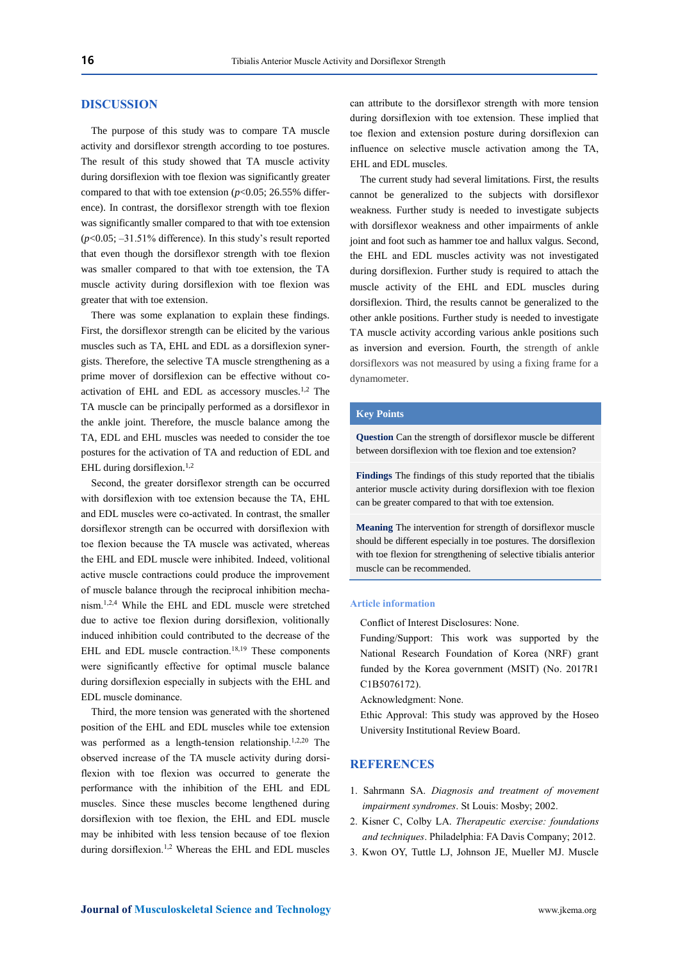# **DISCUSSION**

The purpose of this study was to compare TA muscle activity and dorsiflexor strength according to toe postures. The result of this study showed that TA muscle activity during dorsiflexion with toe flexion was significantly greater compared to that with toe extension (*p*<0.05; 26.55% difference). In contrast, the dorsiflexor strength with toe flexion was significantly smaller compared to that with toe extension (*p*<0.05; –31.51% difference). In this study's result reported that even though the dorsiflexor strength with toe flexion was smaller compared to that with toe extension, the TA muscle activity during dorsiflexion with toe flexion was greater that with toe extension.

There was some explanation to explain these findings. First, the dorsiflexor strength can be elicited by the various muscles such as TA, EHL and EDL as a dorsiflexion synergists. Therefore, the selective TA muscle strengthening as a prime mover of dorsiflexion can be effective without coactivation of EHL and EDL as accessory muscles.1,2 The TA muscle can be principally performed as a dorsiflexor in the ankle joint. Therefore, the muscle balance among the TA, EDL and EHL muscles was needed to consider the toe postures for the activation of TA and reduction of EDL and EHL during dorsiflexion. $1,2$ 

Second, the greater dorsiflexor strength can be occurred with dorsiflexion with toe extension because the TA, EHL and EDL muscles were co-activated. In contrast, the smaller dorsiflexor strength can be occurred with dorsiflexion with toe flexion because the TA muscle was activated, whereas the EHL and EDL muscle were inhibited. Indeed, volitional active muscle contractions could produce the improvement of muscle balance through the reciprocal inhibition mechanism.1,2,4 While the EHL and EDL muscle were stretched due to active toe flexion during dorsiflexion, volitionally induced inhibition could contributed to the decrease of the EHL and EDL muscle contraction.<sup>18,19</sup> These components were significantly effective for optimal muscle balance during dorsiflexion especially in subjects with the EHL and EDL muscle dominance.

Third, the more tension was generated with the shortened position of the EHL and EDL muscles while toe extension was performed as a length-tension relationship.<sup>1,2,20</sup> The observed increase of the TA muscle activity during dorsiflexion with toe flexion was occurred to generate the performance with the inhibition of the EHL and EDL muscles. Since these muscles become lengthened during dorsiflexion with toe flexion, the EHL and EDL muscle may be inhibited with less tension because of toe flexion during dorsiflexion.1,2 Whereas the EHL and EDL muscles can attribute to the dorsiflexor strength with more tension during dorsiflexion with toe extension. These implied that toe flexion and extension posture during dorsiflexion can influence on selective muscle activation among the TA, EHL and EDL muscles.

The current study had several limitations. First, the results cannot be generalized to the subjects with dorsiflexor weakness. Further study is needed to investigate subjects with dorsiflexor weakness and other impairments of ankle joint and foot such as hammer toe and hallux valgus. Second, the EHL and EDL muscles activity was not investigated during dorsiflexion. Further study is required to attach the muscle activity of the EHL and EDL muscles during dorsiflexion. Third, the results cannot be generalized to the other ankle positions. Further study is needed to investigate TA muscle activity according various ankle positions such as inversion and eversion. Fourth, the strength of ankle dorsiflexors was not measured by using a fixing frame for a dynamometer.

## **Key Points**

**Question** Can the strength of dorsiflexor muscle be different between dorsiflexion with toe flexion and toe extension?

**Findings** The findings of this study reported that the tibialis anterior muscle activity during dorsiflexion with toe flexion can be greater compared to that with toe extension.

**Meaning** The intervention for strength of dorsiflexor muscle should be different especially in toe postures. The dorsiflexion with toe flexion for strengthening of selective tibialis anterior muscle can be recommended.

#### **Article information**

Conflict of Interest Disclosures: None.

Funding/Support: This work was supported by the National Research Foundation of Korea (NRF) grant funded by the Korea government (MSIT) (No. 2017R1 C1B5076172).

Acknowledgment: None.

Ethic Approval: This study was approved by the Hoseo University Institutional Review Board.

# **REFERENCES**

- 1. Sahrmann SA. *Diagnosis and treatment of movement impairment syndromes*. St Louis: Mosby; 2002.
- 2. Kisner C, Colby LA. *Therapeutic exercise: foundations and techniques*. Philadelphia: FA Davis Company; 2012.
- 3. Kwon OY, Tuttle LJ, Johnson JE, Mueller MJ. Muscle